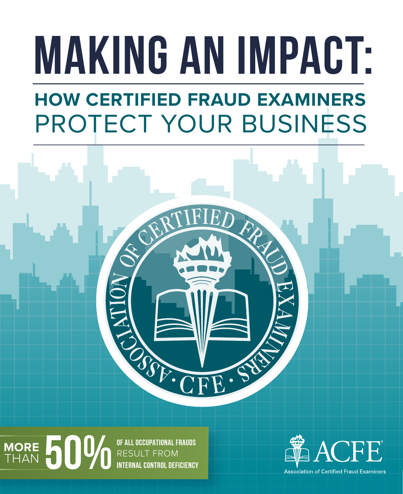# **MAKING AN IMPACT:**

## **HOW CERTIFIED FRAUD EXAMINERS** PROTECT YOUR BUSINESS



**50 0 OF ALL OCCUPATIONAL FRAUDS**<br>RESULT FROM<br>INTERNAL CONTROL DEFICIENC RESULT FROM **INTERNAL CONTROL DEFICIENCY MORE** THAN



**Association of Certified Fraud Examiners**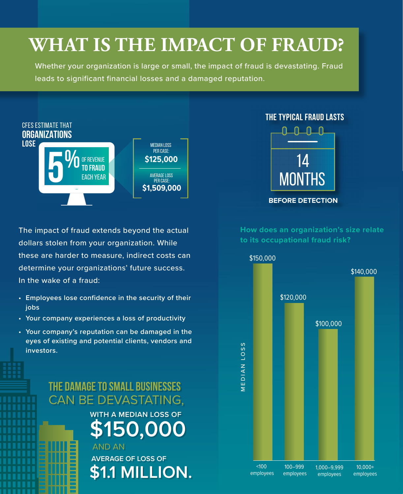## **WHAT IS THE IMPACT OF FRAUD?**

Whether your organization is large or small, the impact of fraud is devastating. Fraud leads to significant financial losses and a damaged reputation.



The impact of fraud extends beyond the actual dollars stolen from your organization. While these are harder to measure, indirect costs can determine your organizations' future success. In the wake of a fraud:

- **• Employees lose confidence in the security of their jobs**
- **• Your company experiences a loss of productivity**
- **• Your company's reputation can be damaged in the eyes of existing and potential clients, vendors and investors.**

#### **THE DAMAGE TO SMALL BUSINESSES THE DAMAGE TO SMALL BUSINESSES** CAN BE DEVASTATING, CAN BE DEVASTATING,

**WITH A MEDIAN LOSS OF WITH A MEDIAN LOSS OF \$150,000 \$150,000**

 **AVERAGE OF LOSS OF AVERAGE OF LOSS OF \$1.1 MILLION. \$1.1 MILLION. AND AN** 



**How does an organization's size relate to its occupational fraud risk?**

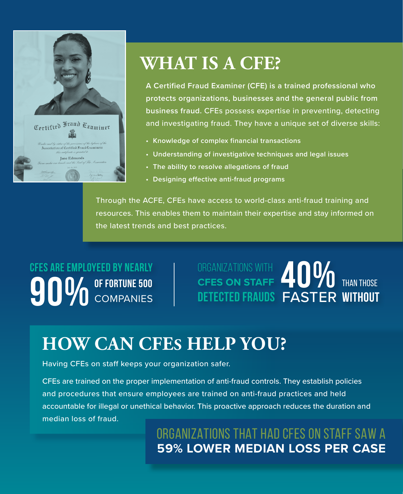

## **WHAT IS A CFE?**

**A Certified Fraud Examiner (CFE) is a trained professional who protects organizations, businesses and the general public from business fraud.** CFEs possess expertise in preventing, detecting and investigating fraud. They have a unique set of diverse skills:

- **• Knowledge of complex financial transactions**
- **• Understanding of investigative techniques and legal issues**
- **• The ability to resolve allegations of fraud**
- **• Designing effective anti-fraud programs**

Through the ACFE, CFEs have access to world-class anti-fraud training and resources. This enables them to maintain their expertise and stay informed on the latest trends and best practices.

**OF FORTUNE 500 COMPANIES CFES ARE EMPLOYEED BY NEARLY** 

DETECTED FRAUDS FASTER WITHOUT ORGANIZATIONS WITH CFES ON STAFF **TU** /U THAN THOSE CFES ARE EMPLOYEED BY NEARLY<br>**900** OF FORTUNE 500<br>DETECTED FRAUDS FASTER

## **HOW CAN CFES HELP YOU?**

Having CFEs on staff keeps your organization safer.

CFEs are trained on the proper implementation of anti-fraud controls. They establish policies and procedures that ensure employees are trained on anti-fraud practices and held accountable for illegal or unethical behavior. This proactive approach reduces the duration and median loss of fraud.

> ORGANIZATIONS THAT HAD CFES ON STAFF SAW A **59% LOWER MEDIAN LOSS PER CASE**